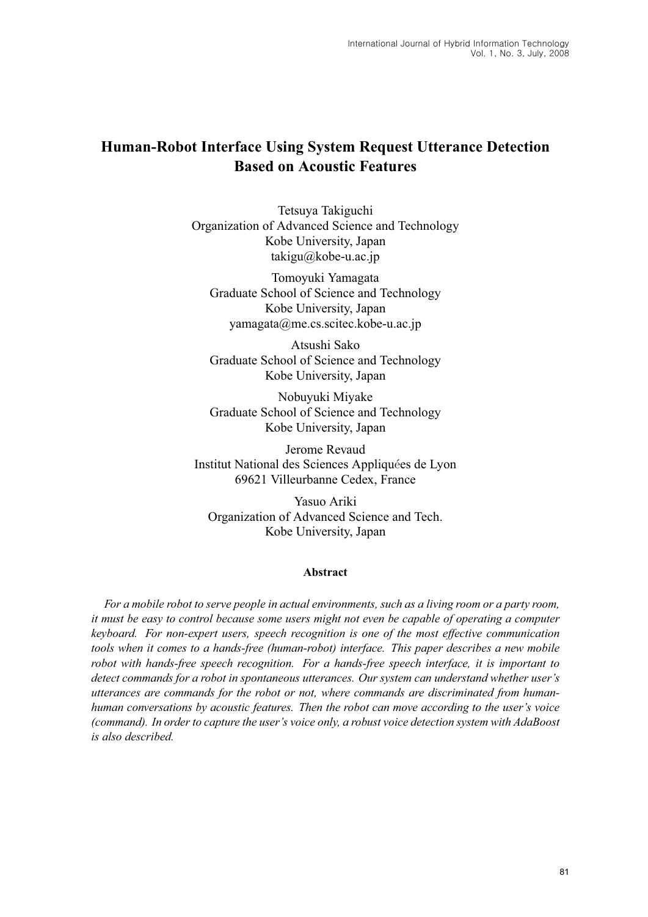## **Human-Robot Interface Using System Request Utterance Detection Based on Acoustic Features**

Tetsuya Takiguchi Organization of Advanced Science and Technology Kobe University, Japan takigu@kobe-u.ac.jp

Tomoyuki Yamagata Graduate School of Science and Technology Kobe University, Japan yamagata@me.cs.scitec.kobe-u.ac.jp

Atsushi Sako Graduate School of Science and Technology Kobe University, Japan

Nobuyuki Miyake Graduate School of Science and Technology Kobe University, Japan

Jerome Revaud Institut National des Sciences Appliquées de Lyon 69621 Villeurbanne Cedex, France

Yasuo Ariki Organization of Advanced Science and Tech. Kobe University, Japan

## **Abstract**

*For a mobile robot to serve people in actual environments, such as a living room or a party room, it must be easy to control because some users might not even be capable of operating a computer keyboard. For non-expert users, speech recognition is one of the most effective communication tools when it comes to a hands-free (human-robot) interface. This paper describes a new mobile robot with hands-free speech recognition. For a hands-free speech interface, it is important to detect commands for a robot in spontaneous utterances. Our system can understand whether user's utterances are commands for the robot or not, where commands are discriminated from humanhuman conversations by acoustic features. Then the robot can move according to the user's voice (command). In order to capture the user's voice only, a robust voice detection system with AdaBoost is also described.*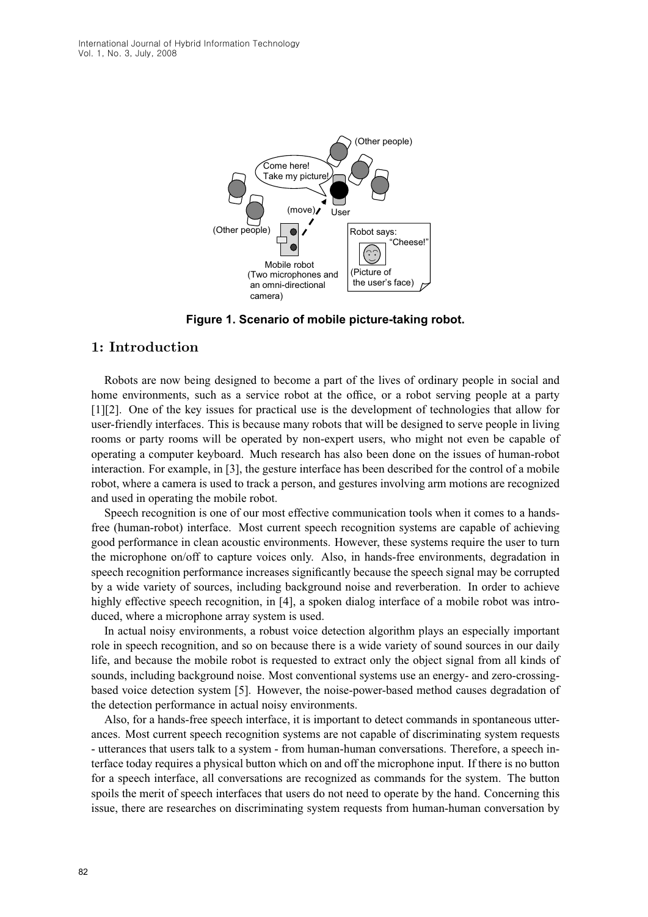

**Figure 1. Scenario of mobile picture-taking robot.**

## **1: Introduction**

Robots are now being designed to become a part of the lives of ordinary people in social and home environments, such as a service robot at the office, or a robot serving people at a party [1][2]. One of the key issues for practical use is the development of technologies that allow for user-friendly interfaces. This is because many robots that will be designed to serve people in living rooms or party rooms will be operated by non-expert users, who might not even be capable of operating a computer keyboard. Much research has also been done on the issues of human-robot interaction. For example, in [3], the gesture interface has been described for the control of a mobile robot, where a camera is used to track a person, and gestures involving arm motions are recognized and used in operating the mobile robot.

Speech recognition is one of our most effective communication tools when it comes to a handsfree (human-robot) interface. Most current speech recognition systems are capable of achieving good performance in clean acoustic environments. However, these systems require the user to turn the microphone on/off to capture voices only. Also, in hands-free environments, degradation in speech recognition performance increases significantly because the speech signal may be corrupted by a wide variety of sources, including background noise and reverberation. In order to achieve highly effective speech recognition, in [4], a spoken dialog interface of a mobile robot was introduced, where a microphone array system is used.

In actual noisy environments, a robust voice detection algorithm plays an especially important role in speech recognition, and so on because there is a wide variety of sound sources in our daily life, and because the mobile robot is requested to extract only the object signal from all kinds of sounds, including background noise. Most conventional systems use an energy- and zero-crossingbased voice detection system [5]. However, the noise-power-based method causes degradation of the detection performance in actual noisy environments.

Also, for a hands-free speech interface, it is important to detect commands in spontaneous utterances. Most current speech recognition systems are not capable of discriminating system requests - utterances that users talk to a system - from human-human conversations. Therefore, a speech interface today requires a physical button which on and off the microphone input. If there is no button for a speech interface, all conversations are recognized as commands for the system. The button spoils the merit of speech interfaces that users do not need to operate by the hand. Concerning this issue, there are researches on discriminating system requests from human-human conversation by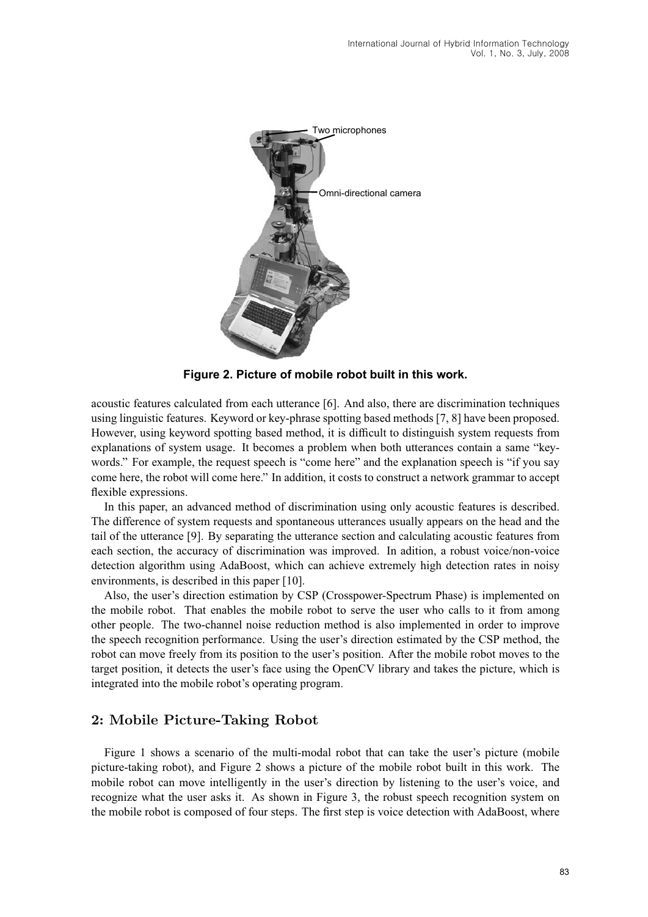

**Figure 2. Picture of mobile robot built in this work.**

acoustic features calculated from each utterance [6]. And also, there are discrimination techniques using linguistic features. Keyword or key-phrase spotting based methods [7, 8] have been proposed. However, using keyword spotting based method, it is difficult to distinguish system requests from explanations of system usage. It becomes a problem when both utterances contain a same "keywords." For example, the request speech is "come here" and the explanation speech is "if you say come here, the robot will come here." In addition, it costs to construct a network grammar to accept flexible expressions.

In this paper, an advanced method of discrimination using only acoustic features is described. The difference of system requests and spontaneous utterances usually appears on the head and the tail of the utterance [9]. By separating the utterance section and calculating acoustic features from each section, the accuracy of discrimination was improved. In adition, a robust voice/non-voice detection algorithm using AdaBoost, which can achieve extremely high detection rates in noisy environments, is described in this paper [10].

Also, the user's direction estimation by CSP (Crosspower-Spectrum Phase) is implemented on the mobile robot. That enables the mobile robot to serve the user who calls to it from among other people. The two-channel noise reduction method is also implemented in order to improve the speech recognition performance. Using the user's direction estimated by the CSP method, the robot can move freely from its position to the user's position. After the mobile robot moves to the target position, it detects the user's face using the OpenCV library and takes the picture, which is integrated into the mobile robot's operating program.

## **2: Mobile Picture-Taking Robot**

Figure 1 shows a scenario of the multi-modal robot that can take the user's picture (mobile picture-taking robot), and Figure 2 shows a picture of the mobile robot built in this work. The mobile robot can move intelligently in the user's direction by listening to the user's voice, and recognize what the user asks it. As shown in Figure 3, the robust speech recognition system on the mobile robot is composed of four steps. The first step is voice detection with AdaBoost, where